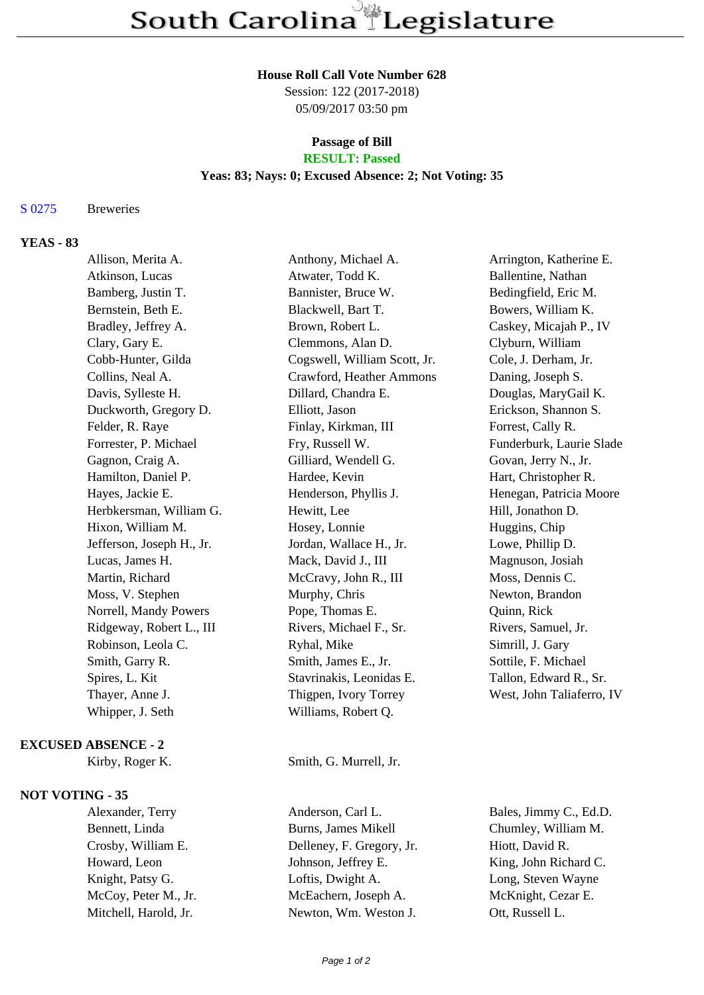#### **House Roll Call Vote Number 628**

Session: 122 (2017-2018) 05/09/2017 03:50 pm

# **Passage of Bill**

## **RESULT: Passed**

### **Yeas: 83; Nays: 0; Excused Absence: 2; Not Voting: 35**

#### S 0275 Breweries

### **YEAS - 83**

| Allison, Merita A.         | Anthony, Michael A.          | Arrington, Katherine E.   |
|----------------------------|------------------------------|---------------------------|
| Atkinson, Lucas            | Atwater, Todd K.             | Ballentine, Nathan        |
| Bamberg, Justin T.         | Bannister, Bruce W.          | Bedingfield, Eric M.      |
| Bernstein, Beth E.         | Blackwell, Bart T.           | Bowers, William K.        |
| Bradley, Jeffrey A.        | Brown, Robert L.             | Caskey, Micajah P., IV    |
| Clary, Gary E.             | Clemmons, Alan D.            | Clyburn, William          |
| Cobb-Hunter, Gilda         | Cogswell, William Scott, Jr. | Cole, J. Derham, Jr.      |
| Collins, Neal A.           | Crawford, Heather Ammons     | Daning, Joseph S.         |
| Davis, Sylleste H.         | Dillard, Chandra E.          | Douglas, MaryGail K.      |
| Duckworth, Gregory D.      | Elliott, Jason               | Erickson, Shannon S.      |
| Felder, R. Raye            | Finlay, Kirkman, III         | Forrest, Cally R.         |
| Forrester, P. Michael      | Fry, Russell W.              | Funderburk, Laurie Slade  |
| Gagnon, Craig A.           | Gilliard, Wendell G.         | Govan, Jerry N., Jr.      |
| Hamilton, Daniel P.        | Hardee, Kevin                | Hart, Christopher R.      |
| Hayes, Jackie E.           | Henderson, Phyllis J.        | Henegan, Patricia Moore   |
| Herbkersman, William G.    | Hewitt, Lee                  | Hill, Jonathon D.         |
| Hixon, William M.          | Hosey, Lonnie                | Huggins, Chip             |
| Jefferson, Joseph H., Jr.  | Jordan, Wallace H., Jr.      | Lowe, Phillip D.          |
| Lucas, James H.            | Mack, David J., III          | Magnuson, Josiah          |
| Martin, Richard            | McCravy, John R., III        | Moss, Dennis C.           |
| Moss, V. Stephen           | Murphy, Chris                | Newton, Brandon           |
| Norrell, Mandy Powers      | Pope, Thomas E.              | Quinn, Rick               |
| Ridgeway, Robert L., III   | Rivers, Michael F., Sr.      | Rivers, Samuel, Jr.       |
| Robinson, Leola C.         | Ryhal, Mike                  | Simrill, J. Gary          |
| Smith, Garry R.            | Smith, James E., Jr.         | Sottile, F. Michael       |
| Spires, L. Kit             | Stavrinakis, Leonidas E.     | Tallon, Edward R., Sr.    |
| Thayer, Anne J.            | Thigpen, Ivory Torrey        | West, John Taliaferro, IV |
| Whipper, J. Seth           | Williams, Robert Q.          |                           |
| <b>EXCUSED ABSENCE - 2</b> |                              |                           |
|                            |                              |                           |

Kirby, Roger K. Smith, G. Murrell, Jr.

#### **NOT VOTING - 35**

Mitchell, Harold, Jr. Newton, Wm. Weston J. Ott, Russell L.

Alexander, Terry Anderson, Carl L. Bales, Jimmy C., Ed.D. Bennett, Linda Burns, James Mikell Chumley, William M. Crosby, William E. Delleney, F. Gregory, Jr. Hiott, David R. Howard, Leon Johnson, Jeffrey E. King, John Richard C. Knight, Patsy G. Loftis, Dwight A. Long, Steven Wayne McCoy, Peter M., Jr. McEachern, Joseph A. McKnight, Cezar E.